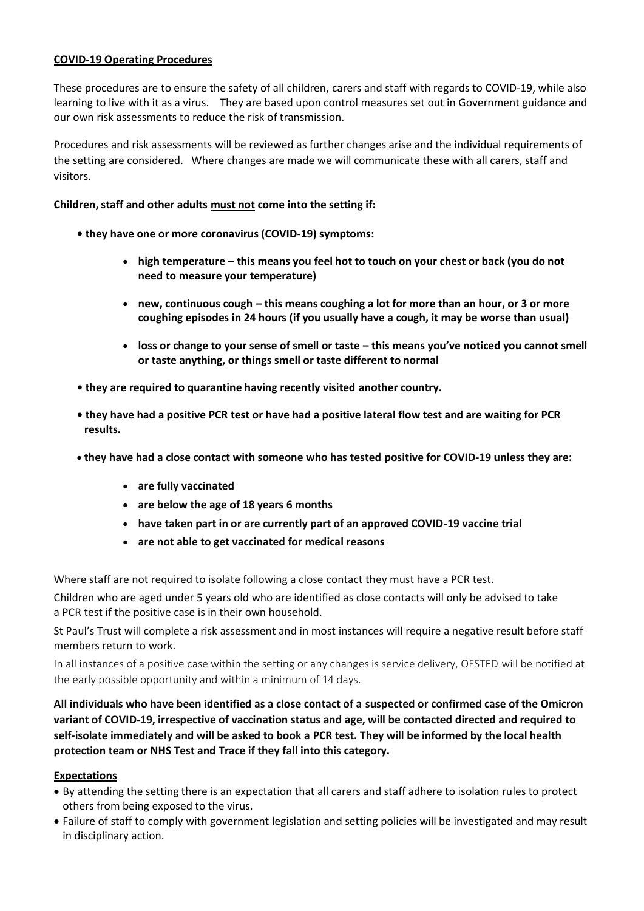## **COVID-19 Operating Procedures**

These procedures are to ensure the safety of all children, carers and staff with regards to COVID-19, while also learning to live with it as a virus. They are based upon control measures set out in Government guidance and our own risk assessments to reduce the risk of transmission.

Procedures and risk assessments will be reviewed as further changes arise and the individual requirements of the setting are considered. Where changes are made we will communicate these with all carers, staff and visitors.

## **Children, staff and other adults must not come into the setting if:**

- **they have one or more coronavirus (COVID-19) symptoms:**
	- **high temperature – this means you feel hot to touch on your chest or back (you do not need to measure your temperature)**
	- **new, continuous cough – this means coughing a lot for more than an hour, or 3 or more coughing episodes in 24 hours (if you usually have a cough, it may be worse than usual)**
	- **loss or change to your sense of smell or taste – this means you've noticed you cannot smell or taste anything, or things smell or taste different to normal**
- **they are required to quarantine having recently visited another country.**
- **they have had a positive PCR test or have had a positive lateral flow test and are waiting for PCR results.**
- **they have had a close contact with someone who has tested positive for COVID-19 unless they are:**
	- **are fully vaccinated**
	- **are below the age of 18 years 6 months**
	- **have taken part in or are currently part of an approved COVID-19 vaccine trial**
	- **are not able to get vaccinated for medical reasons**

Where staff are not required to isolate following a close contact they must have a PCR test.

Children who are aged under 5 years old who are identified as close contacts will only be advised to take a PCR test if the positive case is in their own household.

St Paul's Trust will complete a risk assessment and in most instances will require a negative result before staff members return to work.

In all instances of a positive case within the setting or any changes is service delivery, OFSTED will be notified at the early possible opportunity and within a minimum of 14 days.

**All individuals who have been identified as a close contact of a suspected or confirmed case of the Omicron variant of COVID-19, irrespective of vaccination status and age, will be contacted directed and required to self-isolate immediately and will be asked to book a PCR test. They will be informed by the local health protection team or NHS Test and Trace if they fall into this category.**

#### **Expectations**

- By attending the setting there is an expectation that all carers and staff adhere to isolation rules to protect others from being exposed to the virus.
- Failure of staff to comply with government legislation and setting policies will be investigated and may result in disciplinary action.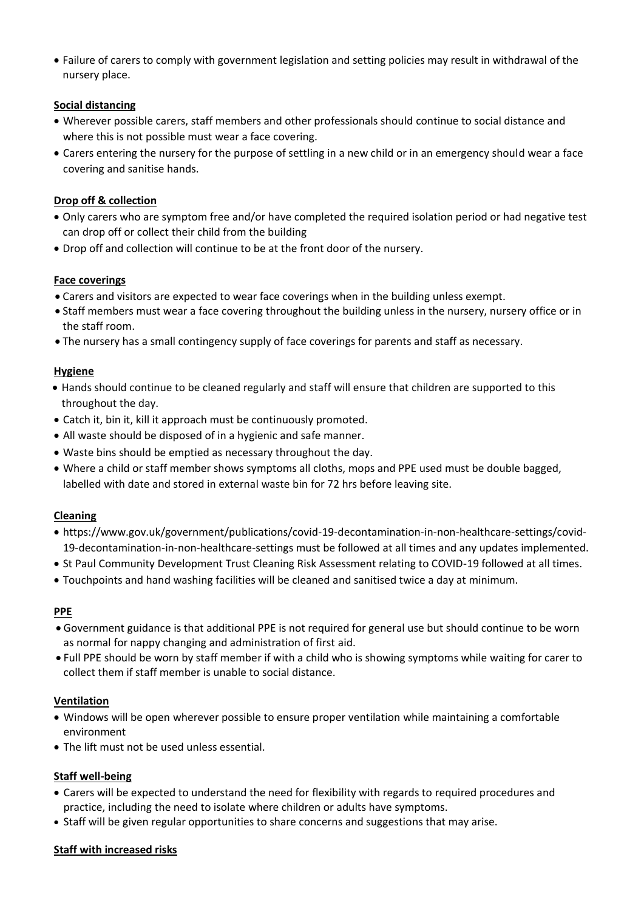• Failure of carers to comply with government legislation and setting policies may result in withdrawal of the nursery place.

# **Social distancing**

- Wherever possible carers, staff members and other professionals should continue to social distance and where this is not possible must wear a face covering.
- Carers entering the nursery for the purpose of settling in a new child or in an emergency should wear a face covering and sanitise hands.

## **Drop off & collection**

- Only carers who are symptom free and/or have completed the required isolation period or had negative test can drop off or collect their child from the building
- Drop off and collection will continue to be at the front door of the nursery.

## **Face coverings**

- Carers and visitors are expected to wear face coverings when in the building unless exempt.
- Staff members must wear a face covering throughout the building unless in the nursery, nursery office or in the staff room.
- The nursery has a small contingency supply of face coverings for parents and staff as necessary.

## **Hygiene**

- Hands should continue to be cleaned regularly and staff will ensure that children are supported to this throughout the day.
- Catch it, bin it, kill it approach must be continuously promoted.
- All waste should be disposed of in a hygienic and safe manner.
- Waste bins should be emptied as necessary throughout the day.
- Where a child or staff member shows symptoms all cloths, mops and PPE used must be double bagged, labelled with date and stored in external waste bin for 72 hrs before leaving site.

#### **Cleaning**

- https://www.gov.uk/government/publications/covid-19-decontamination-in-non-healthcare-settings/covid-19-decontamination-in-non-healthcare-settings must be followed at all times and any updates implemented.
- St Paul Community Development Trust Cleaning Risk Assessment relating to COVID-19 followed at all times.
- Touchpoints and hand washing facilities will be cleaned and sanitised twice a day at minimum.

#### **PPE**

- Government guidance is that additional PPE is not required for general use but should continue to be worn as normal for nappy changing and administration of first aid.
- Full PPE should be worn by staff member if with a child who is showing symptoms while waiting for carer to collect them if staff member is unable to social distance.

#### **Ventilation**

- Windows will be open wherever possible to ensure proper ventilation while maintaining a comfortable environment
- The lift must not be used unless essential.

# **Staff well-being**

- Carers will be expected to understand the need for flexibility with regards to required procedures and practice, including the need to isolate where children or adults have symptoms.
- Staff will be given regular opportunities to share concerns and suggestions that may arise.

#### **Staff with increased risks**